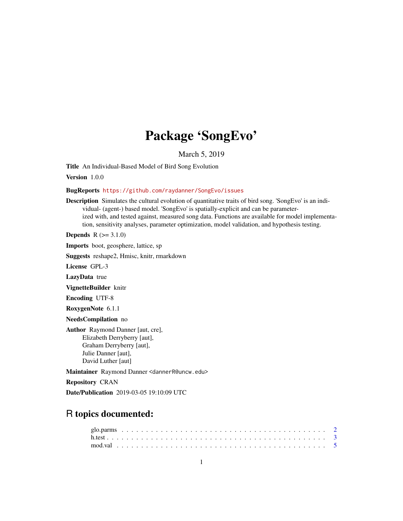# Package 'SongEvo'

March 5, 2019

Title An Individual-Based Model of Bird Song Evolution

Version 1.0.0

#### BugReports <https://github.com/raydanner/SongEvo/issues>

Description Simulates the cultural evolution of quantitative traits of bird song. 'SongEvo' is an individual- (agent-) based model. 'SongEvo' is spatially-explicit and can be parameterized with, and tested against, measured song data. Functions are available for model implementation, sensitivity analyses, parameter optimization, model validation, and hypothesis testing.

**Depends**  $R (= 3.1.0)$ 

Imports boot, geosphere, lattice, sp

Suggests reshape2, Hmisc, knitr, rmarkdown

License GPL-3

LazyData true

VignetteBuilder knitr

Encoding UTF-8

RoxygenNote 6.1.1

NeedsCompilation no

Author Raymond Danner [aut, cre], Elizabeth Derryberry [aut], Graham Derryberry [aut], Julie Danner [aut], David Luther [aut]

Maintainer Raymond Danner <dannerR@uncw.edu>

Repository CRAN

Date/Publication 2019-03-05 19:10:09 UTC

## R topics documented: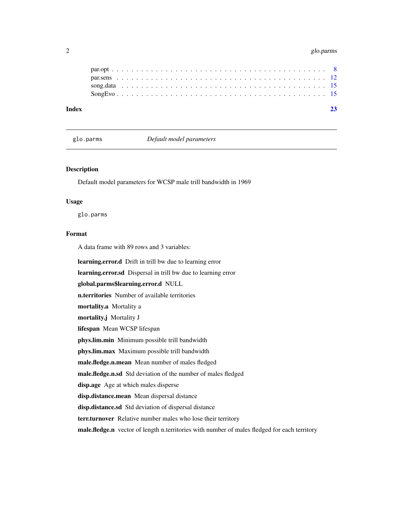#### <span id="page-1-0"></span>2 glo.parms and the set of the set of the set of the set of the set of the set of the set of the set of the set of the set of the set of the set of the set of the set of the set of the set of the set of the set of the set

| Index |  |  |  |  |  |  |  |  |  |  |  |  |  |  |  |  |  |  |  |  |  |  |
|-------|--|--|--|--|--|--|--|--|--|--|--|--|--|--|--|--|--|--|--|--|--|--|
|       |  |  |  |  |  |  |  |  |  |  |  |  |  |  |  |  |  |  |  |  |  |  |
|       |  |  |  |  |  |  |  |  |  |  |  |  |  |  |  |  |  |  |  |  |  |  |
|       |  |  |  |  |  |  |  |  |  |  |  |  |  |  |  |  |  |  |  |  |  |  |
|       |  |  |  |  |  |  |  |  |  |  |  |  |  |  |  |  |  |  |  |  |  |  |
|       |  |  |  |  |  |  |  |  |  |  |  |  |  |  |  |  |  |  |  |  |  |  |

glo.parms *Default model parameters*

#### Description

Default model parameters for WCSP male trill bandwidth in 1969

#### Usage

glo.parms

#### Format

A data frame with 89 rows and 3 variables:

learning.error.d Drift in trill bw due to learning error learning.error.sd Dispersal in trill bw due to learning error global.parms\$learning.error.d NULL n.territories Number of available territories mortality.a Mortality a mortality.j Mortality J lifespan Mean WCSP lifespan phys.lim.min Minimum possible trill bandwidth phys.lim.max Maximum possible trill bandwidth male.fledge.n.mean Mean number of males fledged male.fledge.n.sd Std deviation of the number of males fledged disp.age Age at which males disperse disp.distance.mean Mean dispersal distance disp.distance.sd Std deviation of dispersal distance terr.turnover Relative number males who lose their territory male.fledge.n vector of length n.territories with number of males fledged for each territory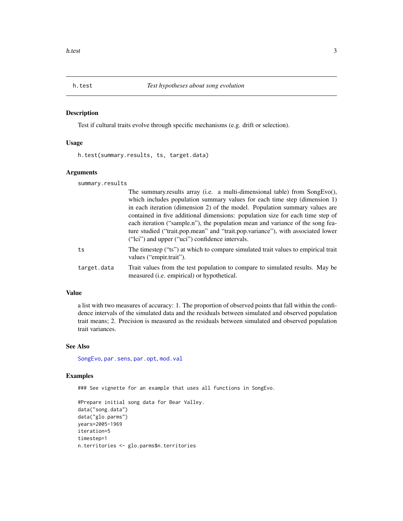#### Description

Test if cultural traits evolve through specific mechanisms (e.g. drift or selection).

#### Usage

h.test(summary.results, ts, target.data)

#### Arguments

summary.results

|             | The summary results array (i.e. a multi-dimensional table) from SongEvo(),<br>which includes population summary values for each time step (dimension 1)                                                                                                                                                                                                                               |
|-------------|---------------------------------------------------------------------------------------------------------------------------------------------------------------------------------------------------------------------------------------------------------------------------------------------------------------------------------------------------------------------------------------|
|             | in each iteration (dimension 2) of the model. Population summary values are<br>contained in five additional dimensions: population size for each time step of<br>each iteration ("sample.n"), the population mean and variance of the song fea-<br>ture studied ("trait.pop.mean" and "trait.pop.variance"), with associated lower<br>("lci") and upper ("uci") confidence intervals. |
| ts          | The timestep ("ts") at which to compare simulated trait values to empirical trait<br>values ("empir.trait").                                                                                                                                                                                                                                                                          |
| target.data | Trait values from the test population to compare to simulated results. May be<br>measured ( <i>i.e.</i> empirical) or hypothetical.                                                                                                                                                                                                                                                   |
|             |                                                                                                                                                                                                                                                                                                                                                                                       |

#### Value

a list with two measures of accuracy: 1. The proportion of observed points that fall within the confidence intervals of the simulated data and the residuals between simulated and observed population trait means; 2. Precision is measured as the residuals between simulated and observed population trait variances.

#### See Also

[SongEvo](#page-14-1), [par.sens](#page-11-1), [par.opt](#page-7-1), [mod.val](#page-4-1)

#### Examples

### See vignette for an example that uses all functions in SongEvo.

```
#Prepare initial song data for Bear Valley.
data("song.data")
data("glo.parms")
years=2005-1969
iteration=5
timestep=1
n.territories <- glo.parms$n.territories
```
<span id="page-2-1"></span><span id="page-2-0"></span>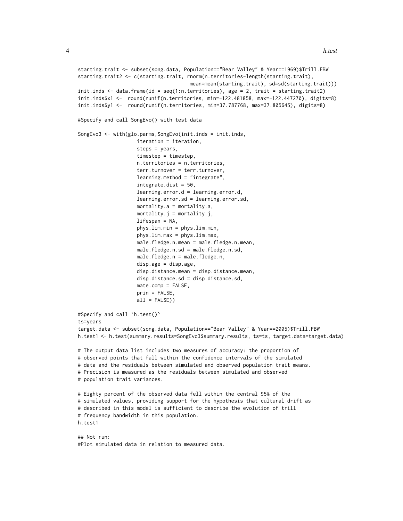```
starting.trait <- subset(song.data, Population=="Bear Valley" & Year==1969)$Trill.FBW
starting.trait2 <- c(starting.trait, rnorm(n.territories-length(starting.trait),
                                      mean=mean(starting.trait), sd=sd(starting.trait)))
init.inds <- data.frame(id = seq(1:n.territories), age = 2, trait = starting.trait2)
init.inds$x1 <- round(runif(n.territories, min=-122.481858, max=-122.447270), digits=8)
init.inds$y1 <- round(runif(n.territories, min=37.787768, max=37.805645), digits=8)
#Specify and call SongEvo() with test data
SongEvo3 <- with(glo.parms,SongEvo(init.inds = init.inds,
                    iteration = iteration,
                    steps = years,
                    timestep = timestep,
                    n.territories = n.territories,
                    terr.turnover = terr.turnover,
                    learning.method = "integrate",
                    integrate.dist = 50,
                    learning.error.d = learning.error.d,
                    learning.error.sd = learning.error.sd,
                    mortality.a = mortality.a,
                    mortality.j = mortality.j,
                    lifespan = NA,
                    phys.lim.min = phys.lim.min,
                    phys.lim.max = phys.lim.max,
                    male.fledge.n.mean = male.fledge.n.mean,
                    male.fledge.n.sd = male.fledge.n.sd,
                    male.fledge.n = male.fledge.n,
                    disp.age = disp.age,
                    disp.distance.mean = disp.distance.mean,
                    disp.distance.sd = disp.distance.sd,
                    mate.comp = FALSE,
                    prin = FALSE,
                    all = FALSE))
#Specify and call `h.test()`
ts=years
target.data <- subset(song.data, Population=="Bear Valley" & Year==2005)$Trill.FBW
h.test1 <- h.test(summary.results=SongEvo3$summary.results, ts=ts, target.data=target.data)
# The output data list includes two measures of accuracy: the proportion of
# observed points that fall within the confidence intervals of the simulated
# data and the residuals between simulated and observed population trait means.
# Precision is measured as the residuals between simulated and observed
# population trait variances.
# Eighty percent of the observed data fell within the central 95% of the
# simulated values, providing support for the hypothesis that cultural drift as
# described in this model is sufficient to describe the evolution of trill
# frequency bandwidth in this population.
h.test1
## Not run:
```

```
#Plot simulated data in relation to measured data.
```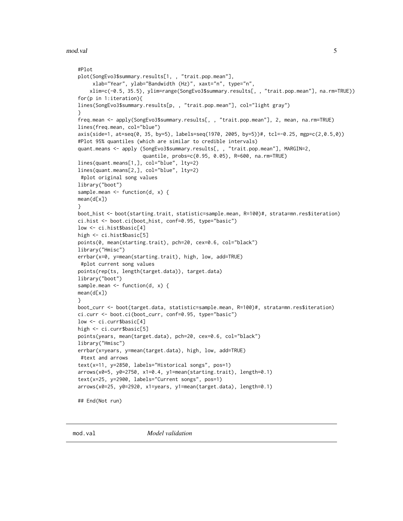<span id="page-4-0"></span>mod.val 5

```
#Plot
plot(SongEvo3$summary.results[1, , "trait.pop.mean"],
    xlab="Year", ylab="Bandwidth (Hz)", xaxt="n", type="n",
    xlim=c(-0.5, 35.5), ylim=range(SongEvo3$summary.results[, , "trait.pop.mean"], na.rm=TRUE))
for(p in 1:iteration){
lines(SongEvo3$summary.results[p, , "trait.pop.mean"], col="light gray")
}
freq.mean <- apply(SongEvo3$summary.results[, , "trait.pop.mean"], 2, mean, na.rm=TRUE)
lines(freq.mean, col="blue")
axis(side=1, at=seq(0, 35, by=5), labels=seq(1970, 2005, by=5))#, tcl=-0.25, mgp=c(2,0.5,0))
#Plot 95% quantiles (which are similar to credible intervals)
quant.means <- apply (SongEvo3$summary.results[, , "trait.pop.mean"], MARGIN=2,
                      quantile, probs=c(0.95, 0.05), R=600, na.rm=TRUE)
lines(quant.means[1,], col="blue", lty=2)
lines(quant.means[2,], col="blue", lty=2)
#plot original song values
library("boot")
sample.mean <- function(d, x) {
mean(d[x])
}
boot_hist <- boot(starting.trait, statistic=sample.mean, R=100)#, strata=mn.res$iteration)
ci.hist <- boot.ci(boot_hist, conf=0.95, type="basic")
low <- ci.hist$basic[4]
high <- ci.hist$basic[5]
points(0, mean(starting.trait), pch=20, cex=0.6, col="black")
library("Hmisc")
errbar(x=0, y=mean(starting.trait), high, low, add=TRUE)
#plot current song values
points(rep(ts, length(target.data)), target.data)
library("boot")
sample.mean <- function(d, x) {
mean(d[x])
}
boot_curr <- boot(target.data, statistic=sample.mean, R=100)#, strata=mn.res$iteration)
ci.curr <- boot.ci(boot_curr, conf=0.95, type="basic")
low <- ci.curr$basic[4]
high <- ci.curr$basic[5]
points(years, mean(target.data), pch=20, cex=0.6, col="black")
library("Hmisc")
errbar(x=years, y=mean(target.data), high, low, add=TRUE)
#text and arrows
text(x=11, y=2850, labels="Historical songs", pos=1)
arrows(x0=5, y0=2750, x1=0.4, y1=mean(starting.trait), length=0.1)
text(x=25, y=2900, labels="Current songs", pos=1)
arrows(x0=25, y0=2920, x1=years, y1=mean(target.data), length=0.1)
## End(Not run)
```
<span id="page-4-1"></span>

mod.val *Model validation*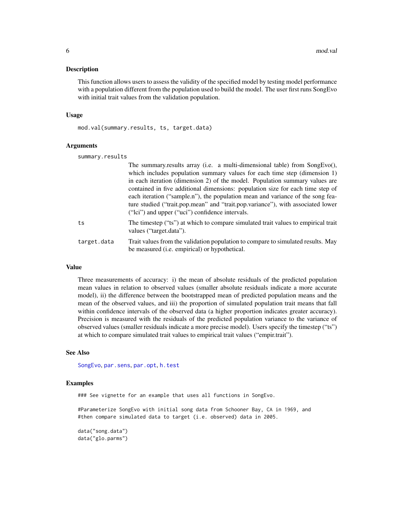#### <span id="page-5-0"></span>Description

This function allows users to assess the validity of the specified model by testing model performance with a population different from the population used to build the model. The user first runs SongEvo with initial trait values from the validation population.

#### Usage

mod.val(summary.results, ts, target.data)

#### Arguments

| summary.results |                                                                                                                                                                                                                                                                                                                                                                                                                                                                                                                                                  |
|-----------------|--------------------------------------------------------------------------------------------------------------------------------------------------------------------------------------------------------------------------------------------------------------------------------------------------------------------------------------------------------------------------------------------------------------------------------------------------------------------------------------------------------------------------------------------------|
|                 | The summary.results array (i.e. a multi-dimensional table) from SongEvo(),<br>which includes population summary values for each time step (dimension 1)<br>in each iteration (dimension 2) of the model. Population summary values are<br>contained in five additional dimensions: population size for each time step of<br>each iteration ("sample.n"), the population mean and variance of the song fea-<br>ture studied ("trait.pop.mean" and "trait.pop.variance"), with associated lower<br>("Ici") and upper ("uci") confidence intervals. |
| ts              | The timestep ("ts") at which to compare simulated trait values to empirical trait<br>values ("target.data").                                                                                                                                                                                                                                                                                                                                                                                                                                     |
| target.data     | Trait values from the validation population to compare to simulated results. May<br>be measured ( <i>i.e.</i> empirical) or hypothetical.                                                                                                                                                                                                                                                                                                                                                                                                        |

#### Value

Three measurements of accuracy: i) the mean of absolute residuals of the predicted population mean values in relation to observed values (smaller absolute residuals indicate a more accurate model), ii) the difference between the bootstrapped mean of predicted population means and the mean of the observed values, and iii) the proportion of simulated population trait means that fall within confidence intervals of the observed data (a higher proportion indicates greater accuracy). Precision is measured with the residuals of the predicted population variance to the variance of observed values (smaller residuals indicate a more precise model). Users specify the timestep ("ts") at which to compare simulated trait values to empirical trait values ("empir.trait").

#### See Also

[SongEvo](#page-14-1), [par.sens](#page-11-1), [par.opt](#page-7-1), [h.test](#page-2-1)

#### Examples

### See vignette for an example that uses all functions in SongEvo.

#Parameterize SongEvo with initial song data from Schooner Bay, CA in 1969, and #then compare simulated data to target (i.e. observed) data in 2005.

```
data("song.data")
data("glo.parms")
```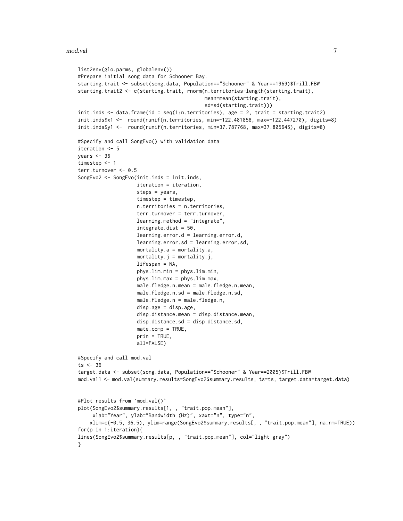```
list2env(glo.parms, globalenv())
#Prepare initial song data for Schooner Bay.
starting.trait <- subset(song.data, Population=="Schooner" & Year==1969)$Trill.FBW
starting.trait2 <- c(starting.trait, rnorm(n.territories-length(starting.trait),
                                           mean=mean(starting.trait),
                                           sd=sd(starting.trait)))
init.inds <- data.frame(id = seq(1:n.territories), age = 2, trait = starting.trait2)
init.inds$x1 <- round(runif(n.territories, min=-122.481858, max=-122.447270), digits=8)
init.inds$y1 <- round(runif(n.territories, min=37.787768, max=37.805645), digits=8)
#Specify and call SongEvo() with validation data
iteration <- 5
years <-36timestep <- 1
terr.turnover <- 0.5
SongEvo2 <- SongEvo(init.inds = init.inds,
                    iteration = iteration,
                    steps = years,
                    timestep = timestep,
                    n.territories = n.territories,
                    terr.turnover = terr.turnover,
                    learning.method = "integrate",
                    integrate.dist = 50,
                    learning.error.d = learning.error.d,
                    learning.error.sd = learning.error.sd,
                    mortality.a = mortality.a,
                    mortality. j = mortality. j,lifespan = NA,
                    phys.lim.min = phys.lim.min,
                    phys.lim.max = phys.lim.max,
                    male.fledge.n.mean = male.fledge.n.mean,
                    male.fledge.n.sd = male.fledge.n.sd,
                    male.fledge.n = male.fledge.n,
                    disp.age = disp.age,
                    disp.distance.mean = disp.distance.mean,
                    disp.distance.sd = disp.distance.sd,
                    mate.comp = TRUE,
                    prin = TRUE,
                    all=FALSE)
#Specify and call mod.val
ts < -36target.data <- subset(song.data, Population=="Schooner" & Year==2005)$Trill.FBW
mod.val1 <- mod.val(summary.results=SongEvo2$summary.results, ts=ts, target.data=target.data)
#Plot results from `mod.val()`
plot(SongEvo2$summary.results[1, , "trait.pop.mean"],
     xlab="Year", ylab="Bandwidth (Hz)", xaxt="n", type="n",
    xlim=c(-0.5, 36.5), ylim=range(SongEvo2$summary.results[, , "trait.pop.mean"], na.rm=TRUE))
for(p in 1:iteration){
lines(SongEvo2$summary.results[p, , "trait.pop.mean"], col="light gray")
}
```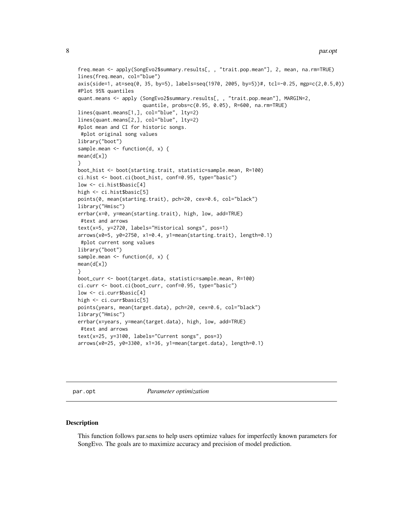```
freq.mean <- apply(SongEvo2$summary.results[, , "trait.pop.mean"], 2, mean, na.rm=TRUE)
lines(freq.mean, col="blue")
axis(side=1, at=seq(0, 35, by=5), labels=seq(1970, 2005, by=5))#, tcl=-0.25, mgp=c(2,0.5,0))
#Plot 95% quantiles
quant.means <- apply (SongEvo2$summary.results[, , "trait.pop.mean"], MARGIN=2,
                      quantile, probs=c(0.95, 0.05), R=600, na.rm=TRUE)
lines(quant.means[1,], col="blue", lty=2)
lines(quant.means[2,], col="blue", lty=2)
#plot mean and CI for historic songs.
 #plot original song values
library("boot")
sample.mean <- function(d, x) {
mean(d[x])
}
boot_hist <- boot(starting.trait, statistic=sample.mean, R=100)
ci.hist <- boot.ci(boot_hist, conf=0.95, type="basic")
low <- ci.hist$basic[4]
high <- ci.hist$basic[5]
points(0, mean(starting.trait), pch=20, cex=0.6, col="black")
library("Hmisc")
errbar(x=0, y=mean(starting.trait), high, low, add=TRUE)
 #text and arrows
text(x=5, y=2720, labels="Historical songs", pos=1)
arrows(x0=5, y0=2750, x1=0.4, y1=mean(starting.trait), length=0.1)
 #plot current song values
library("boot")
sample.mean <- function(d, x) {
mean(d[x])}
boot_curr <- boot(target.data, statistic=sample.mean, R=100)
ci.curr <- boot.ci(boot_curr, conf=0.95, type="basic")
low <- ci.curr$basic[4]
high <- ci.curr$basic[5]
points(years, mean(target.data), pch=20, cex=0.6, col="black")
library("Hmisc")
errbar(x=years, y=mean(target.data), high, low, add=TRUE)
 #text and arrows
text(x=25, y=3100, labels="Current songs", pos=3)
arrows(x0=25, y0=3300, x1=36, y1=mean(target.data), length=0.1)
```
<span id="page-7-1"></span>par.opt *Parameter optimization*

#### Description

This function follows par.sens to help users optimize values for imperfectly known parameters for SongEvo. The goals are to maximize accuracy and precision of model prediction.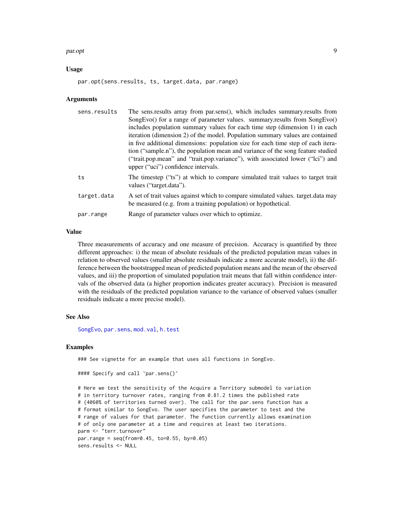#### <span id="page-8-0"></span>par.opt 9 and 2012 12:00 par.opt 9 and 2012 12:00 par.opt 9 and 2012 12:00 par.opt 9 and 2012 12:00 par.opt 9 and 2012 12:00 par.opt 9 and 2012 12:00 par.opt 9 and 2012 12:00 par.opt 9 and 2012 12:00 par.opt 9 and 2012 12:

#### Usage

par.opt(sens.results, ts, target.data, par.range)

#### Arguments

| sens.results | The sens.results array from par.sens(), which includes summary.results from                                                                        |
|--------------|----------------------------------------------------------------------------------------------------------------------------------------------------|
|              | SongEvo() for a range of parameter values. summary.results from SongEvo()                                                                          |
|              | includes population summary values for each time step (dimension 1) in each                                                                        |
|              | iteration (dimension 2) of the model. Population summary values are contained                                                                      |
|              | in five additional dimensions: population size for each time step of each itera-                                                                   |
|              | tion ("sample.n"), the population mean and variance of the song feature studied                                                                    |
|              | ("trait.pop.mean" and "trait.pop.variance"), with associated lower ("lci") and                                                                     |
|              | upper ("uci") confidence intervals.                                                                                                                |
| ts           | The timestep ("ts") at which to compare simulated trait values to target trait<br>values ("target.data").                                          |
| target.data  | A set of trait values against which to compare simulated values. target data may<br>be measured (e.g. from a training population) or hypothetical. |
| par.range    | Range of parameter values over which to optimize.                                                                                                  |

#### Value

Three measurements of accuracy and one measure of precision. Accuracy is quantified by three different approaches: i) the mean of absolute residuals of the predicted population mean values in relation to observed values (smaller absolute residuals indicate a more accurate model), ii) the difference between the bootstrapped mean of predicted population means and the mean of the observed values, and iii) the proportion of simulated population trait means that fall within confidence intervals of the observed data (a higher proportion indicates greater accuracy). Precision is measured with the residuals of the predicted population variance to the variance of observed values (smaller residuals indicate a more precise model).

#### See Also

[SongEvo](#page-14-1), [par.sens](#page-11-1), [mod.val](#page-4-1), [h.test](#page-2-1)

#### Examples

### See vignette for an example that uses all functions in SongEvo.

#### Specify and call `par.sens()`

```
# Here we test the sensitivity of the Acquire a Territory submodel to variation
# in territory turnover rates, ranging from 0.81.2 times the published rate
# (4060% of territories turned over). The call for the par.sens function has a
# format similar to SongEvo. The user specifies the parameter to test and the
# range of values for that parameter. The function currently allows examination
# of only one parameter at a time and requires at least two iterations.
parm <- "terr.turnover"
par.range = seq(from=0.45, to=0.55, by=0.05)
sens.results <- NULL
```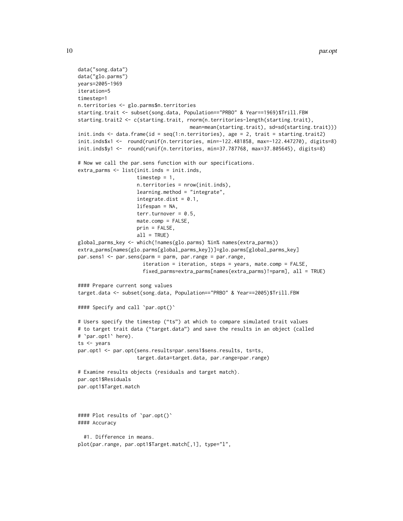```
data("song.data")
data("glo.parms")
years=2005-1969
iteration=5
timestep=1
n.territories <- glo.parms$n.territories
starting.trait <- subset(song.data, Population=="PRBO" & Year==1969)$Trill.FBW
starting.trait2 <- c(starting.trait, rnorm(n.territories-length(starting.trait),
                                      mean=mean(starting.trait), sd=sd(starting.trait)))
init.inds <- data.frame(id = seq(1:n.territories), age = 2, trait = starting.trait2)
init.inds$x1 <- round(runif(n.territories, min=-122.481858, max=-122.447270), digits=8)
init.inds$y1 <- round(runif(n.territories, min=37.787768, max=37.805645), digits=8)
# Now we call the par.sens function with our specifications.
extra_parms <- list(init.inds = init.inds,
                    timestep = 1,
                    n.territories = nrow(init.inds),
                    learning.method = "integrate",
                    integrate.dist = 0.1,
                    lifespan = NA,
                    terr.turnover = 0.5,
                    mate.comp = FALSE,
                    prin = FALSE,
                    all = TRUE)
global_parms_key <- which(!names(glo.parms) %in% names(extra_parms))
extra_parms[names(glo.parms[global_parms_key])]=glo.parms[global_parms_key]
par.sens1 <- par.sens(parm = parm, par.range = par.range,
                      iteration = iteration, steps = years, mate.comp = FALSE,
                      fixed_parms=extra_parms[names(extra_parms)!=parm], all = TRUE)
#### Prepare current song values
target.data <- subset(song.data, Population=="PRBO" & Year==2005)$Trill.FBW
#### Specify and call `par.opt()`
# Users specify the timestep ("ts") at which to compare simulated trait values
# to target trait data ("target.data") and save the results in an object (called
# `par.opt1` here).
ts <- years
par.opt1 <- par.opt(sens.results=par.sens1$sens.results, ts=ts,
                    target.data=target.data, par.range=par.range)
# Examine results objects (residuals and target match).
par.opt1$Residuals
par.opt1$Target.match
#### Plot results of `par.opt()`
#### Accuracy
 #1. Difference in means.
plot(par.range, par.opt1$Target.match[,1], type="l",
```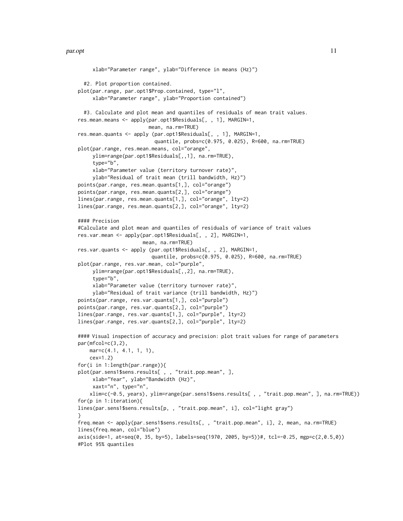#### par.opt 11

```
xlab="Parameter range", ylab="Difference in means (Hz)")
  #2. Plot proportion contained.
plot(par.range, par.opt1$Prop.contained, type="l",
     xlab="Parameter range", ylab="Proportion contained")
  #3. Calculate and plot mean and quantiles of residuals of mean trait values.
res.mean.means <- apply(par.opt1$Residuals[, , 1], MARGIN=1,
                        mean, na.rm=TRUE)
res.mean.quants <- apply (par.opt1$Residuals[, , 1], MARGIN=1,
                          quantile, probs=c(0.975, 0.025), R=600, na.rm=TRUE)
plot(par.range, res.mean.means, col="orange",
     ylim=range(par.opt1$Residuals[,,1], na.rm=TRUE),
     type="b",
     xlab="Parameter value (territory turnover rate)",
     ylab="Residual of trait mean (trill bandwidth, Hz)")
points(par.range, res.mean.quants[1,], col="orange")
points(par.range, res.mean.quants[2,], col="orange")
lines(par.range, res.mean.quants[1,], col="orange", lty=2)
lines(par.range, res.mean.quants[2,], col="orange", lty=2)
#### Precision
#Calculate and plot mean and quantiles of residuals of variance of trait values
res.var.mean <- apply(par.opt1$Residuals[, , 2], MARGIN=1,
                      mean, na.rm=TRUE)
res.var.quants <- apply (par.opt1$Residuals[, , 2], MARGIN=1,
                         quantile, probs=c(0.975, 0.025), R=600, na.rm=TRUE)
plot(par.range, res.var.mean, col="purple",
     ylim=range(par.opt1$Residuals[,,2], na.rm=TRUE),
     type="b",
     xlab="Parameter value (territory turnover rate)",
     ylab="Residual of trait variance (trill bandwidth, Hz)")
points(par.range, res.var.quants[1,], col="purple")
points(par.range, res.var.quants[2,], col="purple")
lines(par.range, res.var.quants[1,], col="purple", lty=2)
lines(par.range, res.var.quants[2,], col="purple", lty=2)
#### Visual inspection of accuracy and precision: plot trait values for range of parameters
par(mfcol=c(3,2),
    mar = c(4.1, 4.1, 1, 1),
    cex=1.2)
for(i in 1:length(par.range)){
plot(par.sens1$sens.results[ , , "trait.pop.mean", ],
     xlab="Year", ylab="Bandwidth (Hz)",
     xaxt="n", type="n",
    xlim=c(-0.5, years), ylim=range(par.sens1$sens.results[ , , "trait.pop.mean", ], na.rm=TRUE))
for(p in 1:iteration){
lines(par.sens1$sens.results[p, , "trait.pop.mean", i], col="light gray")
}
freq.mean <- apply(par.sens1$sens.results[, , "trait.pop.mean", i], 2, mean, na.rm=TRUE)
lines(freq.mean, col="blue")
axis(side=1, at=seq(0, 35, by=5), labels=seq(1970, 2005, by=5))#, tcl=-0.25, mgp=c(2,0.5,0))
#Plot 95% quantiles
```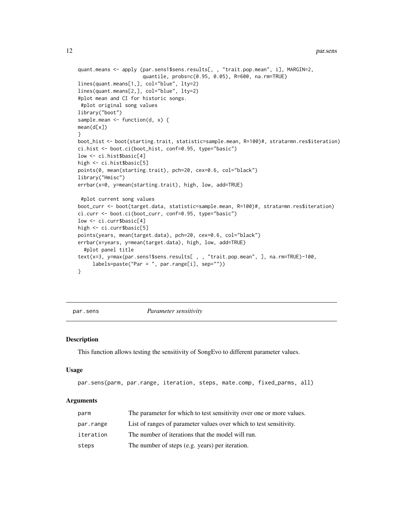```
quant.means <- apply (par.sens1$sens.results[, , "trait.pop.mean", i], MARGIN=2,
                     quantile, probs=c(0.95, 0.05), R=600, na.rm=TRUE)
lines(quant.means[1,], col="blue", lty=2)
lines(quant.means[2,], col="blue", lty=2)
#plot mean and CI for historic songs.
#plot original song values
library("boot")
sample.mean <- function(d, x) {
mean(d[x])
}
boot_hist <- boot(starting.trait, statistic=sample.mean, R=100)#, strata=mn.res$iteration)
ci.hist <- boot.ci(boot_hist, conf=0.95, type="basic")
low <- ci.hist$basic[4]
high <- ci.hist$basic[5]
points(0, mean(starting.trait), pch=20, cex=0.6, col="black")
library("Hmisc")
errbar(x=0, y=mean(starting.trait), high, low, add=TRUE)
 #plot current song values
boot_curr <- boot(target.data, statistic=sample.mean, R=100)#, strata=mn.res$iteration)
ci.curr <- boot.ci(boot_curr, conf=0.95, type="basic")
low <- ci.curr$basic[4]
high <- ci.curr$basic[5]
points(years, mean(target.data), pch=20, cex=0.6, col="black")
errbar(x=years, y=mean(target.data), high, low, add=TRUE)
  #plot panel title
text(x=3, y=max(par.sens1$sens.results[ , , "trait.pop.mean", ], na.rm=TRUE)-100,
     labels=paste("Par = ", par.range[i], sep=""))
}
```
<span id="page-11-1"></span>

par.sens *Parameter sensitivity*

#### Description

This function allows testing the sensitivity of SongEvo to different parameter values.

#### Usage

```
par.sens(parm, par.range, iteration, steps, mate.comp, fixed_parms, all)
```
#### Arguments

| parm      | The parameter for which to test sensitivity over one or more values. |
|-----------|----------------------------------------------------------------------|
| par.range | List of ranges of parameter values over which to test sensitivity.   |
| iteration | The number of iterations that the model will run.                    |
| steps     | The number of steps (e.g. years) per iteration.                      |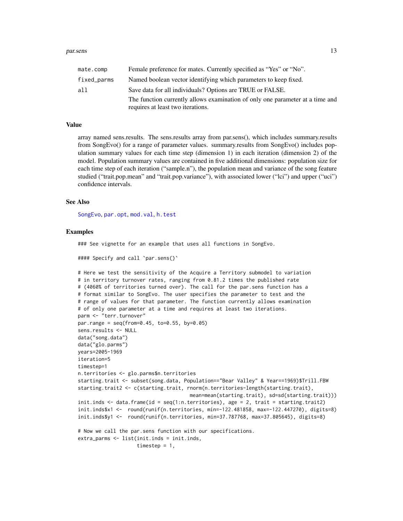<span id="page-12-0"></span>

| mate.comp   | Female preference for mates. Currently specified as "Yes" or "No".            |
|-------------|-------------------------------------------------------------------------------|
| fixed_parms | Named boolean vector identifying which parameters to keep fixed.              |
| all         | Save data for all individuals? Options are TRUE or FALSE.                     |
|             | The function currently allows examination of only one parameter at a time and |
|             | requires at least two iterations.                                             |

#### Value

array named sens.results. The sens.results array from par.sens(), which includes summary.results from SongEvo() for a range of parameter values. summary.results from SongEvo() includes population summary values for each time step (dimension 1) in each iteration (dimension 2) of the model. Population summary values are contained in five additional dimensions: population size for each time step of each iteration ("sample.n"), the population mean and variance of the song feature studied ("trait.pop.mean" and "trait.pop.variance"), with associated lower ("lci") and upper ("uci") confidence intervals.

#### See Also

[SongEvo](#page-14-1), [par.opt](#page-7-1), [mod.val](#page-4-1), [h.test](#page-2-1)

#### Examples

### See vignette for an example that uses all functions in SongEvo.

#### Specify and call `par.sens()`

```
# Here we test the sensitivity of the Acquire a Territory submodel to variation
# in territory turnover rates, ranging from 0.81.2 times the published rate
# (4060% of territories turned over). The call for the par.sens function has a
# format similar to SongEvo. The user specifies the parameter to test and the
# range of values for that parameter. The function currently allows examination
# of only one parameter at a time and requires at least two iterations.
parm <- "terr.turnover"
par.range = seq(from=0.45, to=0.55, by=0.05)
sens.results <- NULL
data("song.data")
data("glo.parms")
years=2005-1969
iteration=5
timestep=1
n.territories <- glo.parms$n.territories
starting.trait <- subset(song.data, Population=="Bear Valley" & Year==1969)$Trill.FBW
starting.trait2 <- c(starting.trait, rnorm(n.territories-length(starting.trait),
                                      mean=mean(starting.trait), sd=sd(starting.trait)))
init.inds <- data.frame(id = seq(1:n.territories), age = 2, trait = starting.trait2)
init.inds$x1 <- round(runif(n.territories, min=-122.481858, max=-122.447270), digits=8)
init.inds$y1 <- round(runif(n.territories, min=37.787768, max=37.805645), digits=8)
# Now we call the par.sens function with our specifications.
extra_parms <- list(init.inds = init.inds,
                    timestep = 1,
```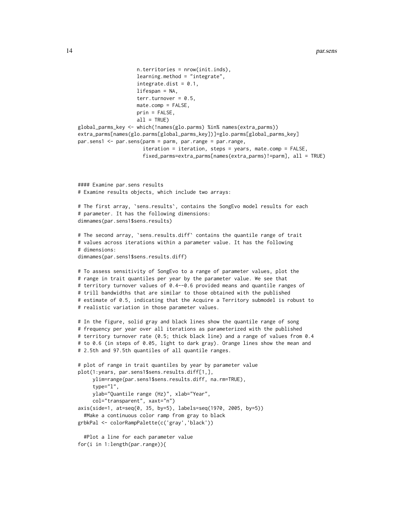```
n.territories = nrow(init.inds),
                    learning.method = "integrate",
                    integrate.dist = 0.1,lifespan = NA,
                    terr.turnover = 0.5,
                   mate.comp = FALSE,
                    prin = FALSE,
                    all = TRUE)
global_parms_key <- which(!names(glo.parms) %in% names(extra_parms))
extra_parms[names(glo.parms[global_parms_key])]=glo.parms[global_parms_key]
par.sens1 <- par.sens(parm = parm, par.range = par.range,
                      iteration = iteration, steps = years, mate.comp = FALSE,
                      fixed_parms=extra_parms[names(extra_parms)!=parm], all = TRUE)
#### Examine par.sens results
# Examine results objects, which include two arrays:
# The first array, `sens.results`, contains the SongEvo model results for each
# parameter. It has the following dimensions:
dimnames(par.sens1$sens.results)
# The second array, `sens.results.diff` contains the quantile range of trait
# values across iterations within a parameter value. It has the following
# dimensions:
dimnames(par.sens1$sens.results.diff)
# To assess sensitivity of SongEvo to a range of parameter values, plot the
# range in trait quantiles per year by the parameter value. We see that
# territory turnover values of 0.4--0.6 provided means and quantile ranges of
# trill bandwidths that are similar to those obtained with the published
# estimate of 0.5, indicating that the Acquire a Territory submodel is robust to
# realistic variation in those parameter values.
# In the figure, solid gray and black lines show the quantile range of song
# frequency per year over all iterations as parameterized with the published
# territory turnover rate (0.5; thick black line) and a range of values from 0.4
# to 0.6 (in steps of 0.05, light to dark gray). Orange lines show the mean and
# 2.5th and 97.5th quantiles of all quantile ranges.
# plot of range in trait quantiles by year by parameter value
plot(1:years, par.sens1$sens.results.diff[1,],
     ylim=range(par.sens1$sens.results.diff, na.rm=TRUE),
     type="l",
     ylab="Quantile range (Hz)", xlab="Year",
     col="transparent", xaxt="n")
axis(side=1, at=seq(0, 35, by=5), labels=seq(1970, 2005, by=5))
  #Make a continuous color ramp from gray to black
grbkPal <- colorRampPalette(c('gray','black'))
```

```
#Plot a line for each parameter value
for(i in 1:length(par.range)){
```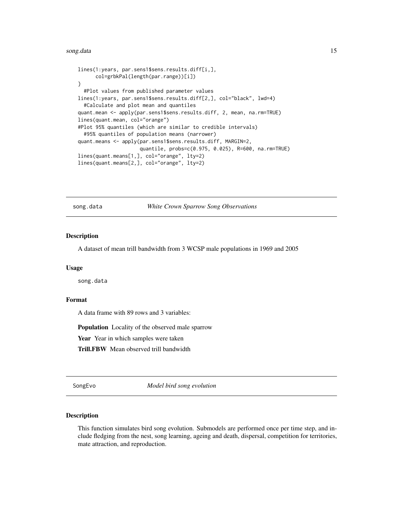#### <span id="page-14-0"></span>song.data 15

```
lines(1:years, par.sens1$sens.results.diff[i,],
     col=grbkPal(length(par.range))[i])
}
 #Plot values from published parameter values
lines(1:years, par.sens1$sens.results.diff[2,], col="black", lwd=4)
 #Calculate and plot mean and quantiles
quant.mean <- apply(par.sens1$sens.results.diff, 2, mean, na.rm=TRUE)
lines(quant.mean, col="orange")
#Plot 95% quantiles (which are similar to credible intervals)
 #95% quantiles of population means (narrower)
quant.means <- apply(par.sens1$sens.results.diff, MARGIN=2,
                     quantile, probs=c(0.975, 0.025), R=600, na.rm=TRUE)
lines(quant.means[1,], col="orange", lty=2)
lines(quant.means[2,], col="orange", lty=2)
```
song.data *White Crown Sparrow Song Observations*

#### **Description**

A dataset of mean trill bandwidth from 3 WCSP male populations in 1969 and 2005

#### Usage

song.data

#### Format

A data frame with 89 rows and 3 variables:

Population Locality of the observed male sparrow

Year Year in which samples were taken

Trill.FBW Mean observed trill bandwidth

<span id="page-14-1"></span>SongEvo *Model bird song evolution*

#### Description

This function simulates bird song evolution. Submodels are performed once per time step, and include fledging from the nest, song learning, ageing and death, dispersal, competition for territories, mate attraction, and reproduction.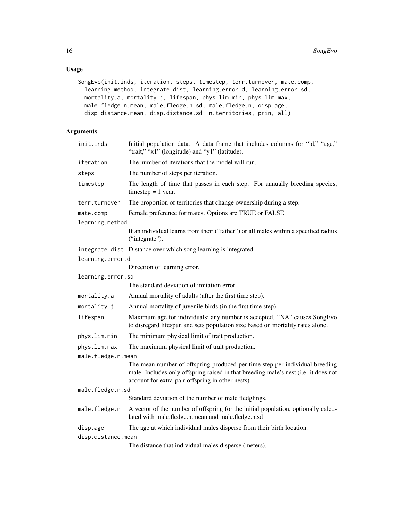### Usage

```
SongEvo(init.inds, iteration, steps, timestep, terr.turnover, mate.comp,
  learning.method, integrate.dist, learning.error.d, learning.error.sd,
 mortality.a, mortality.j, lifespan, phys.lim.min, phys.lim.max,
 male.fledge.n.mean, male.fledge.n.sd, male.fledge.n, disp.age,
 disp.distance.mean, disp.distance.sd, n.territories, prin, all)
```
#### Arguments

| init.inds          | Initial population data. A data frame that includes columns for "id," "age,"<br>"trait," "x1" (longitude) and "y1" (latitude).                                                                                          |
|--------------------|-------------------------------------------------------------------------------------------------------------------------------------------------------------------------------------------------------------------------|
| iteration          | The number of iterations that the model will run.                                                                                                                                                                       |
| steps              | The number of steps per iteration.                                                                                                                                                                                      |
| timestep           | The length of time that passes in each step. For annually breeding species,<br>$t$ imestep = 1 year.                                                                                                                    |
| terr.turnover      | The proportion of territories that change ownership during a step.                                                                                                                                                      |
| mate.comp          | Female preference for mates. Options are TRUE or FALSE.                                                                                                                                                                 |
| learning.method    |                                                                                                                                                                                                                         |
|                    | If an individual learns from their ("father") or all males within a specified radius<br>("integrate").                                                                                                                  |
|                    | integrate.dist Distance over which song learning is integrated.                                                                                                                                                         |
| learning.error.d   |                                                                                                                                                                                                                         |
|                    | Direction of learning error.                                                                                                                                                                                            |
| learning.error.sd  |                                                                                                                                                                                                                         |
|                    | The standard deviation of imitation error.                                                                                                                                                                              |
| mortality.a        | Annual mortality of adults (after the first time step).                                                                                                                                                                 |
| mortality.j        | Annual mortality of juvenile birds (in the first time step).                                                                                                                                                            |
| lifespan           | Maximum age for individuals; any number is accepted. "NA" causes SongEvo<br>to disregard lifespan and sets population size based on mortality rates alone.                                                              |
| phys.lim.min       | The minimum physical limit of trait production.                                                                                                                                                                         |
| phys.lim.max       | The maximum physical limit of trait production.                                                                                                                                                                         |
| male.fledge.n.mean |                                                                                                                                                                                                                         |
|                    | The mean number of offspring produced per time step per individual breeding<br>male. Includes only offspring raised in that breeding male's nest (i.e. it does not<br>account for extra-pair offspring in other nests). |
| male.fledge.n.sd   |                                                                                                                                                                                                                         |
|                    | Standard deviation of the number of male fledglings.                                                                                                                                                                    |
| male.fledge.n      | A vector of the number of offspring for the initial population, optionally calcu-<br>lated with male.fledge.n.mean and male.fledge.n.sd                                                                                 |
| disp.age           | The age at which individual males disperse from their birth location.                                                                                                                                                   |
| disp.distance.mean |                                                                                                                                                                                                                         |
|                    | The distance that individual males disperse (meters).                                                                                                                                                                   |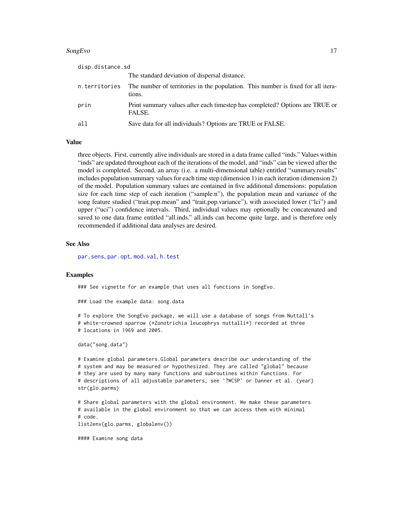#### <span id="page-16-0"></span>SongEvo<sup>17</sup>

| disp.distance.sd |                                                                                            |
|------------------|--------------------------------------------------------------------------------------------|
|                  | The standard deviation of dispersal distance.                                              |
| n.territories    | The number of territories in the population. This number is fixed for all itera-<br>tions. |
| prin             | Print summary values after each timestep has completed? Options are TRUE or<br>FALSE.      |
| all              | Save data for all individuals? Options are TRUE or FALSE.                                  |

#### Value

three objects. First, currently alive individuals are stored in a data frame called "inds." Values within "inds" are updated throughout each of the iterations of the model, and "inds" can be viewed after the model is completed. Second, an array (i.e. a multi-dimensional table) entitled "summary.results" includes population summary values for each time step (dimension 1) in each iteration (dimension 2) of the model. Population summary values are contained in five additional dimensions: population size for each time step of each iteration ("sample.n"), the population mean and variance of the song feature studied ("trait.pop.mean" and "trait.pop.variance"), with associated lower ("lci") and upper ("uci") confidence intervals. Third, individual values may optionally be concatenated and saved to one data frame entitled "all.inds." all.inds can become quite large, and is therefore only recommended if additional data analyses are desired.

#### See Also

[par.sens](#page-11-1), [par.opt](#page-7-1), [mod.val](#page-4-1), [h.test](#page-2-1)

#### Examples

### See vignette for an example that uses all functions in SongEvo.

### Load the example data: song.data

# To explore the SongEvo package, we will use a database of songs from Nuttall's # white-crowned sparrow (\*Zonotrichia leucophrys nuttalli\*) recorded at three # locations in 1969 and 2005.

data("song.data")

# Examine global parameters.Global parameters describe our understanding of the # system and may be measured or hypothesized. They are called "global" because # they are used by many many functions and subroutines within functions. For # descriptions of all adjustable parameters, see `?WCSP` or Danner et al. (year) str(glo.parms)

# Share global parameters with the global environment. We make these parameters # available in the global environment so that we can access them with minimal # code. list2env(glo.parms, globalenv())

#### Examine song data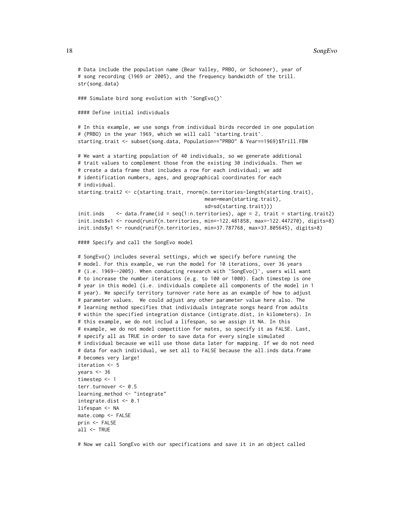#### 18 SongEvo

```
# Data include the population name (Bear Valley, PRBO, or Schooner), year of
# song recording (1969 or 2005), and the frequency bandwidth of the trill.
str(song.data)
### Simulate bird song evolution with 'SongEvo()'
#### Define initial individuals
# In this example, we use songs from individual birds recorded in one population
# (PRBO) in the year 1969, which we will call `starting.trait`.
starting.trait <- subset(song.data, Population=="PRBO" & Year==1969)$Trill.FBW
# We want a starting population of 40 individuals, so we generate additional
# trait values to complement those from the existing 30 individuals. Then we
# create a data frame that includes a row for each individual; we add
# identification numbers, ages, and geographical coordinates for each
# individual.
starting.trait2 <- c(starting.trait, rnorm(n.territories-length(starting.trait),
                                           mean=mean(starting.trait),
                                           sd=sd(starting.trait)))
init.inds <- data.frame(id = seq(1:n.territories), age = 2, trait = starting.trait2)
init.inds$x1 <- round(runif(n.territories, min=-122.481858, max=-122.447270), digits=8)
init.inds$y1 <- round(runif(n.territories, min=37.787768, max=37.805645), digits=8)
#### Specify and call the SongEvo model
# SongEvo() includes several settings, which we specify before running the
# model. For this example, we run the model for 10 iterations, over 36 years
# (i.e. 1969--2005). When conducting research with `SongEvo()`, users will want
# to increase the number iterations (e.g. to 100 or 1000). Each timestep is one
# year in this model (i.e. individuals complete all components of the model in 1
# year). We specify territory turnover rate here as an example of how to adjust
# parameter values. We could adjust any other parameter value here also. The
# learning method specifies that individuals integrate songs heard from adults
# within the specified integration distance (intigrate.dist, in kilometers). In
# this example, we do not includ a lifespan, so we assign it NA. In this
# example, we do not model competition for mates, so specify it as FALSE. Last,
# specify all as TRUE in order to save data for every single simulated
# individual because we will use those data later for mapping. If we do not need
# data for each individual, we set all to FALSE because the all.inds data.frame
# becomes very large!
iteration <- 5
years <-36timestep <- 1
terr.turnover <- 0.5
learning.method <- "integrate"
integrate.dist <- 0.1
lifespan <- NA
mate.comp <- FALSE
prin <- FALSE
all <- TRUE
```
# Now we call SongEvo with our specifications and save it in an object called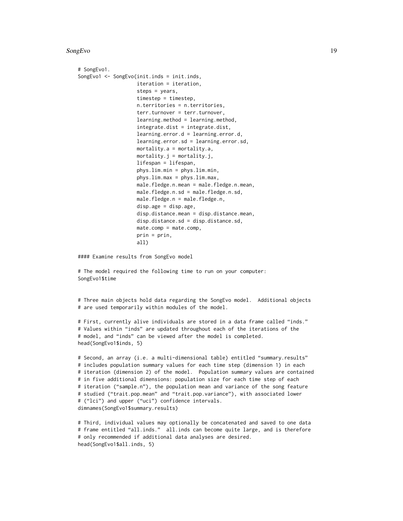#### SongEvo<sup>19</sup>

```
# SongEvo1.
SongEvo1 <- SongEvo(init.inds = init.inds,
                    iteration = iteration,
                    steps = years,
                    timestep = timestep,
                    n.territories = n.territories,
                    terr.turnover = terr.turnover,
                    learning.method = learning.method,
                    integrate.dist = integrate.dist,
                    learning.error.d = learning.error.d,
                    learning.error.sd = learning.error.sd,
                    mortality.a = mortality.a,
                    mortality. j = mortality. j,lifespan = lifespan,
                    phys.lim.min = phys.lim.min,
                    phys.lim.max = phys.lim.max,
                    male.fledge.n.mean = male.fledge.n.mean,
                    male.fledge.n.sd = male.fledge.n.sd,
                    male.fledge.n = male.fledge.n,
                    disp.age = disp.age,
                    disp.distance.mean = disp.distance.mean,
                    disp.distance.sd = disp.distance.sd,
                    mate.comp = mate.comp,
                    prin = prin,
                    all)
```
#### Examine results from SongEvo model

# The model required the following time to run on your computer: SongEvo1\$time

# Three main objects hold data regarding the SongEvo model. Additional objects # are used temporarily within modules of the model.

# First, currently alive individuals are stored in a data frame called "inds." # Values within "inds" are updated throughout each of the iterations of the # model, and "inds" can be viewed after the model is completed. head(SongEvo1\$inds, 5)

```
# Second, an array (i.e. a multi-dimensional table) entitled "summary.results"
# includes population summary values for each time step (dimension 1) in each
# iteration (dimension 2) of the model. Population summary values are contained
# in five additional dimensions: population size for each time step of each
# iteration ("sample.n"), the population mean and variance of the song feature
# studied ("trait.pop.mean" and "trait.pop.variance"), with associated lower
# ("lci") and upper ("uci") confidence intervals.
dimnames(SongEvo1$summary.results)
```

```
# Third, individual values may optionally be concatenated and saved to one data
# frame entitled "all.inds." all.inds can become quite large, and is therefore
# only recommended if additional data analyses are desired.
head(SongEvo1$all.inds, 5)
```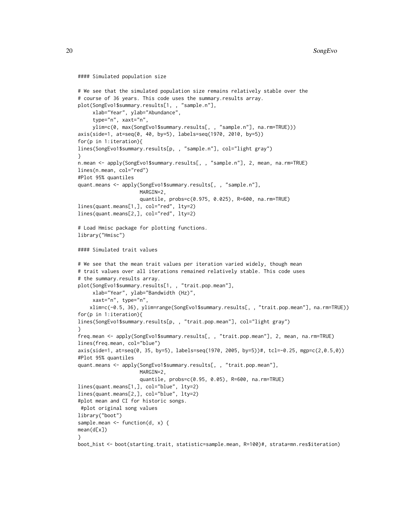```
#### Simulated population size
```

```
# We see that the simulated population size remains relatively stable over the
# course of 36 years. This code uses the summary.results array.
plot(SongEvo1$summary.results[1, , "sample.n"],
     xlab="Year", ylab="Abundance",
     type="n", xaxt="n",
     ylim=c(0, max(SongEvo1$summary.results[, , "sample.n"], na.rm=TRUE)))
axis(side=1, at=seq(0, 40, by=5), labels=seq(1970, 2010, by=5))
for(p in 1:iteration){
lines(SongEvo1$summary.results[p, , "sample.n"], col="light gray")
}
n.mean <- apply(SongEvo1$summary.results[, , "sample.n"], 2, mean, na.rm=TRUE)
lines(n.mean, col="red")
#Plot 95% quantiles
quant.means <- apply(SongEvo1$summary.results[, , "sample.n"],
                     MARGIN=2,
                     quantile, probs=c(0.975, 0.025), R=600, na.rm=TRUE)
lines(quant.means[1,], col="red", lty=2)
lines(quant.means[2,], col="red", lty=2)
# Load Hmisc package for plotting functions.
library("Hmisc")
#### Simulated trait values
# We see that the mean trait values per iteration varied widely, though mean
# trait values over all iterations remained relatively stable. This code uses
# the summary.results array.
plot(SongEvo1$summary.results[1, , "trait.pop.mean"],
     xlab="Year", ylab="Bandwidth (Hz)",
     xaxt="n", type="n",
    xlim=c(-0.5, 36), ylim=range(SongEvo1$summary.results[, , "trait.pop.mean"], na.rm=TRUE))
for(p in 1:iteration){
lines(SongEvo1$summary.results[p, , "trait.pop.mean"], col="light gray")
}
freq.mean <- apply(SongEvo1$summary.results[, , "trait.pop.mean"], 2, mean, na.rm=TRUE)
lines(freq.mean, col="blue")
axis(side=1, at=seq(0, 35, by=5), labels=seq(1970, 2005, by=5))#, tcl=-0.25, mgp=c(2,0.5,0))
#Plot 95% quantiles
quant.means <- apply(SongEvo1$summary.results[, , "trait.pop.mean"],
                     MARGIN=2,
                     quantile, probs=c(0.95, 0.05), R=600, na.rm=TRUE)
lines(quant.means[1,], col="blue", lty=2)
lines(quant.means[2,], col="blue", lty=2)
#plot mean and CI for historic songs.
#plot original song values
library("boot")
sample.mean \leq function(d, x) {
mean(d[x])
}
boot_hist <- boot(starting.trait, statistic=sample.mean, R=100)#, strata=mn.res$iteration)
```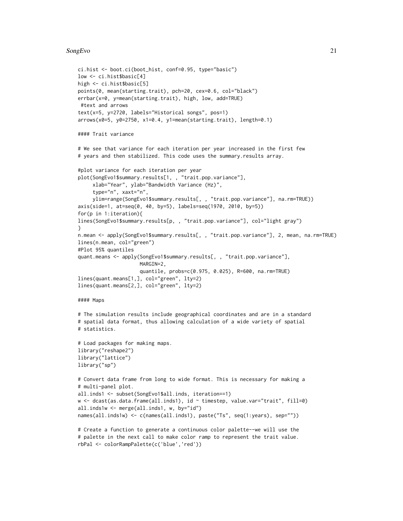#### SongEvo<sup>21</sup>

```
ci.hist <- boot.ci(boot_hist, conf=0.95, type="basic")
low <- ci.hist$basic[4]
high <- ci.hist$basic[5]
points(0, mean(starting.trait), pch=20, cex=0.6, col="black")
errbar(x=0, y=mean(starting.trait), high, low, add=TRUE)
#text and arrows
text(x=5, y=2720, labels="Historical songs", pos=1)
arrows(x0=5, y0=2750, x1=0.4, y1=mean(starting.trait), length=0.1)
#### Trait variance
# We see that variance for each iteration per year increased in the first few
# years and then stabilized. This code uses the summary.results array.
#plot variance for each iteration per year
plot(SongEvo1$summary.results[1, , "trait.pop.variance"],
     xlab="Year", ylab="Bandwidth Variance (Hz)",
     type="n", xaxt="n",
     ylim=range(SongEvo1$summary.results[, , "trait.pop.variance"], na.rm=TRUE))
axis(side=1, at=seq(0, 40, by=5), labels=seq(1970, 2010, by=5))
for(p in 1:iteration){
lines(SongEvo1$summary.results[p, , "trait.pop.variance"], col="light gray")
}
n.mean <- apply(SongEvo1$summary.results[, , "trait.pop.variance"], 2, mean, na.rm=TRUE)
lines(n.mean, col="green")
#Plot 95% quantiles
quant.means <- apply(SongEvo1$summary.results[, , "trait.pop.variance"],
                     MARGIN=2,
                     quantile, probs=c(0.975, 0.025), R=600, na.rm=TRUE)
lines(quant.means[1,], col="green", lty=2)
lines(quant.means[2,], col="green", lty=2)
#### Maps
# The simulation results include geographical coordinates and are in a standard
# spatial data format, thus allowing calculation of a wide variety of spatial
# statistics.
# Load packages for making maps.
library("reshape2")
library("lattice")
library("sp")
# Convert data frame from long to wide format. This is necessary for making a
# multi-panel plot.
all.inds1 <- subset(SongEvo1$all.inds, iteration==1)
w \leftarrow dcast(as.data.frame(all.inds1), id \sim timestep, value.var="trait", fill=0)
all.inds1w <- merge(all.inds1, w, by="id")
names(all.inds1w) <- c(names(all.inds1), paste("Ts", seq(1:years), sep=""))
# Create a function to generate a continuous color palette--we will use the
# palette in the next call to make color ramp to represent the trait value.
```
rbPal <- colorRampPalette(c('blue','red'))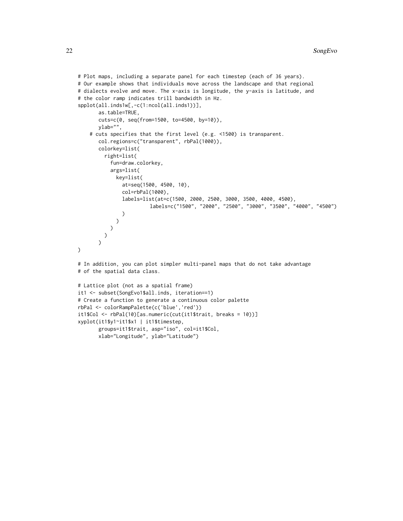```
# Plot maps, including a separate panel for each timestep (each of 36 years).
# Our example shows that individuals move across the landscape and that regional
# dialects evolve and move. The x-axis is longitude, the y-axis is latitude, and
# the color ramp indicates trill bandwidth in Hz.
spplot(all.inds1w[,-c(1:ncol(all.inds1))],
       as.table=TRUE,
       cuts=c(0, seq(from=1500, to=4500, by=10)),
       ylab="",
    # cuts specifies that the first level (e.g. <1500) is transparent.
       col.regions=c("transparent", rbPal(1000)),
       colorkey=list(
         right=list(
           fun=draw.colorkey,
           args=list(
             key=list(
               at=seq(1500, 4500, 10),
               col=rbPal(1000),
               labels=list(at=c(1500, 2000, 2500, 3000, 3500, 4000, 4500),
                         labels=c("1500", "2000", "2500", "3000", "3500", "4000", "4500")
               )
            \rightarrow\rightarrow)
       \mathcal{L})
# In addition, you can plot simpler multi-panel maps that do not take advantage
# of the spatial data class.
# Lattice plot (not as a spatial frame)
it1 <- subset(SongEvo1$all.inds, iteration==1)
# Create a function to generate a continuous color palette
rbPal <- colorRampPalette(c('blue','red'))
it1$Col <- rbPal(10)[as.numeric(cut(it1$trait, breaks = 10))]
xyplot(it1$y1~it1$x1 | it1$timestep,
       groups=it1$trait, asp="iso", col=it1$Col,
       xlab="Longitude", ylab="Latitude")
```